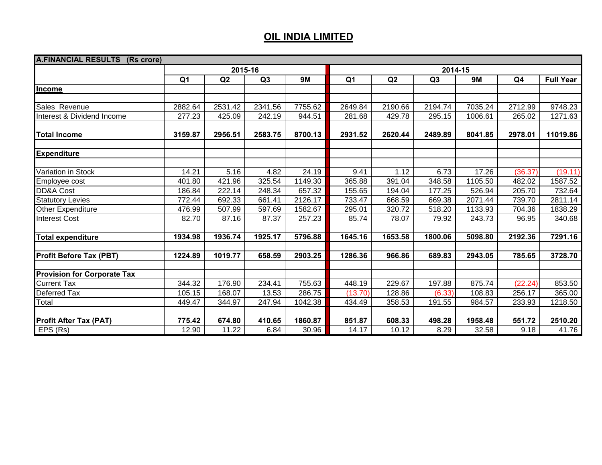| <b>A.FINANCIAL RESULTS</b><br>(Rs crore) |                |         |         |           |                |         |         |           |                |                  |  |  |
|------------------------------------------|----------------|---------|---------|-----------|----------------|---------|---------|-----------|----------------|------------------|--|--|
|                                          |                | 2015-16 |         |           | 2014-15        |         |         |           |                |                  |  |  |
|                                          | Q <sub>1</sub> | Q2      | Q3      | <b>9M</b> | Q <sub>1</sub> | Q2      | Q3      | <b>9M</b> | Q <sub>4</sub> | <b>Full Year</b> |  |  |
| Income                                   |                |         |         |           |                |         |         |           |                |                  |  |  |
|                                          |                |         |         |           |                |         |         |           |                |                  |  |  |
| Sales Revenue                            | 2882.64        | 2531.42 | 2341.56 | 7755.62   | 2649.84        | 2190.66 | 2194.74 | 7035.24   | 2712.99        | 9748.23          |  |  |
| Interest & Dividend Income               | 277.23         | 425.09  | 242.19  | 944.51    | 281.68         | 429.78  | 295.15  | 1006.61   | 265.02         | 1271.63          |  |  |
| <b>Total Income</b>                      | 3159.87        | 2956.51 | 2583.75 | 8700.13   | 2931.52        | 2620.44 | 2489.89 | 8041.85   | 2978.01        | 11019.86         |  |  |
|                                          |                |         |         |           |                |         |         |           |                |                  |  |  |
| <b>Expenditure</b>                       |                |         |         |           |                |         |         |           |                |                  |  |  |
| Variation in Stock                       | 14.21          | 5.16    | 4.82    | 24.19     | 9.41           | 1.12    | 6.73    | 17.26     | (36.37)        | (19.11)          |  |  |
| Employee cost                            | 401.80         | 421.96  | 325.54  | 1149.30   | 365.88         | 391.04  | 348.58  | 1105.50   | 482.02         | 1587.52          |  |  |
| <b>DD&amp;A Cost</b>                     | 186.84         | 222.14  | 248.34  | 657.32    | 155.65         | 194.04  | 177.25  | 526.94    | 205.70         | 732.64           |  |  |
| <b>Statutory Levies</b>                  | 772.44         | 692.33  | 661.41  | 2126.17   | 733.47         | 668.59  | 669.38  | 2071.44   | 739.70         | 2811.14          |  |  |
| Other Expenditure                        | 476.99         | 507.99  | 597.69  | 1582.67   | 295.01         | 320.72  | 518.20  | 1133.93   | 704.36         | 1838.29          |  |  |
| <b>Interest Cost</b>                     | 82.70          | 87.16   | 87.37   | 257.23    | 85.74          | 78.07   | 79.92   | 243.73    | 96.95          | 340.68           |  |  |
|                                          |                |         |         |           |                |         |         |           |                |                  |  |  |
| <b>Total expenditure</b>                 | 1934.98        | 1936.74 | 1925.17 | 5796.88   | 1645.16        | 1653.58 | 1800.06 | 5098.80   | 2192.36        | 7291.16          |  |  |
| <b>Profit Before Tax (PBT)</b>           | 1224.89        | 1019.77 | 658.59  | 2903.25   | 1286.36        | 966.86  | 689.83  | 2943.05   | 785.65         | 3728.70          |  |  |
|                                          |                |         |         |           |                |         |         |           |                |                  |  |  |
| <b>Provision for Corporate Tax</b>       |                |         |         |           |                |         |         |           |                |                  |  |  |
| <b>Current Tax</b>                       | 344.32         | 176.90  | 234.41  | 755.63    | 448.19         | 229.67  | 197.88  | 875.74    | (22.24)        | 853.50           |  |  |
| Deferred Tax                             | 105.15         | 168.07  | 13.53   | 286.75    | (13.70)        | 128.86  | (6.33)  | 108.83    | 256.17         | 365.00           |  |  |
| Total                                    | 449.47         | 344.97  | 247.94  | 1042.38   | 434.49         | 358.53  | 191.55  | 984.57    | 233.93         | 1218.50          |  |  |
|                                          |                |         |         |           |                |         |         |           |                |                  |  |  |
| <b>Profit After Tax (PAT)</b>            | 775.42         | 674.80  | 410.65  | 1860.87   | 851.87         | 608.33  | 498.28  | 1958.48   | 551.72         | 2510.20          |  |  |
| EPS (Rs)                                 | 12.90          | 11.22   | 6.84    | 30.96     | 14.17          | 10.12   | 8.29    | 32.58     | 9.18           | 41.76            |  |  |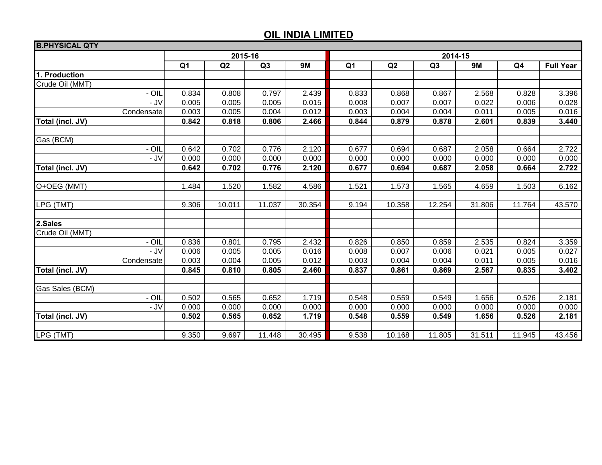| <b>B.PHYSICAL QTY</b> |                |         |        |           |                |        |        |           |        |                  |  |  |
|-----------------------|----------------|---------|--------|-----------|----------------|--------|--------|-----------|--------|------------------|--|--|
|                       |                | 2015-16 |        |           | 2014-15        |        |        |           |        |                  |  |  |
|                       | Q <sub>1</sub> | Q2      | Q3     | <b>9M</b> | Q <sub>1</sub> | Q2     | Q3     | <b>9M</b> | Q4     | <b>Full Year</b> |  |  |
| 1. Production         |                |         |        |           |                |        |        |           |        |                  |  |  |
| Crude Oil (MMT)       |                |         |        |           |                |        |        |           |        |                  |  |  |
| - OIL                 | 0.834          | 0.808   | 0.797  | 2.439     | 0.833          | 0.868  | 0.867  | 2.568     | 0.828  | 3.396            |  |  |
| - JV                  | 0.005          | 0.005   | 0.005  | 0.015     | 0.008          | 0.007  | 0.007  | 0.022     | 0.006  | 0.028            |  |  |
| Condensate            | 0.003          | 0.005   | 0.004  | 0.012     | 0.003          | 0.004  | 0.004  | 0.011     | 0.005  | 0.016            |  |  |
| Total (incl. JV)      | 0.842          | 0.818   | 0.806  | 2.466     | 0.844          | 0.879  | 0.878  | 2.601     | 0.839  | 3.440            |  |  |
|                       |                |         |        |           |                |        |        |           |        |                  |  |  |
| Gas (BCM)             |                |         |        |           |                |        |        |           |        |                  |  |  |
| - OIL                 | 0.642          | 0.702   | 0.776  | 2.120     | 0.677          | 0.694  | 0.687  | 2.058     | 0.664  | 2.722            |  |  |
| - JV                  | 0.000          | 0.000   | 0.000  | 0.000     | 0.000          | 0.000  | 0.000  | 0.000     | 0.000  | 0.000            |  |  |
| Total (incl. JV)      | 0.642          | 0.702   | 0.776  | 2.120     | 0.677          | 0.694  | 0.687  | 2.058     | 0.664  | 2.722            |  |  |
|                       |                |         |        |           |                |        |        |           |        |                  |  |  |
| O+OEG (MMT)           | 1.484          | 1.520   | 1.582  | 4.586     | 1.521          | 1.573  | 1.565  | 4.659     | 1.503  | 6.162            |  |  |
|                       |                |         |        |           |                |        |        |           |        |                  |  |  |
| LPG (TMT)             | 9.306          | 10.011  | 11.037 | 30.354    | 9.194          | 10.358 | 12.254 | 31.806    | 11.764 | 43.570           |  |  |
|                       |                |         |        |           |                |        |        |           |        |                  |  |  |
| 2.Sales               |                |         |        |           |                |        |        |           |        |                  |  |  |
| Crude Oil (MMT)       |                |         |        |           |                |        |        |           |        |                  |  |  |
| - OIL                 | 0.836          | 0.801   | 0.795  | 2.432     | 0.826          | 0.850  | 0.859  | 2.535     | 0.824  | 3.359            |  |  |
| $-$ JV                | 0.006          | 0.005   | 0.005  | 0.016     | 0.008          | 0.007  | 0.006  | 0.021     | 0.005  | 0.027            |  |  |
| Condensate            | 0.003          | 0.004   | 0.005  | 0.012     | 0.003          | 0.004  | 0.004  | 0.011     | 0.005  | 0.016            |  |  |
| Total (incl. JV)      | 0.845          | 0.810   | 0.805  | 2.460     | 0.837          | 0.861  | 0.869  | 2.567     | 0.835  | 3.402            |  |  |
| Gas Sales (BCM)       |                |         |        |           |                |        |        |           |        |                  |  |  |
| - OIL                 | 0.502          | 0.565   | 0.652  | 1.719     | 0.548          | 0.559  | 0.549  | 1.656     | 0.526  | 2.181            |  |  |
| - J $V$               | 0.000          | 0.000   | 0.000  | 0.000     | 0.000          | 0.000  | 0.000  | 0.000     | 0.000  | 0.000            |  |  |
| Total (incl. JV)      | 0.502          | 0.565   | 0.652  | 1.719     | 0.548          | 0.559  | 0.549  | 1.656     | 0.526  | 2.181            |  |  |
|                       |                |         |        |           |                |        |        |           |        |                  |  |  |
| LPG (TMT)             | 9.350          | 9.697   | 11.448 | 30.495    | 9.538          | 10.168 | 11.805 | 31.511    | 11.945 | 43.456           |  |  |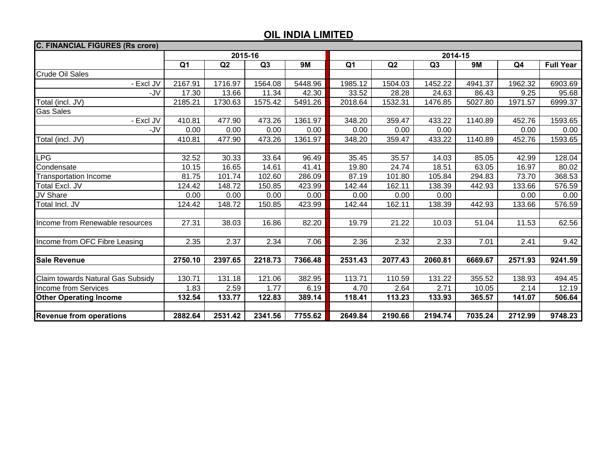| <b>C. FINANCIAL FIGURES (Rs crore)</b> |                |         |         |           |                |         |                |           |         |                  |  |  |
|----------------------------------------|----------------|---------|---------|-----------|----------------|---------|----------------|-----------|---------|------------------|--|--|
|                                        |                |         | 2015-16 |           | 2014-15        |         |                |           |         |                  |  |  |
|                                        | Q <sub>1</sub> | Q2      | Q3      | <b>9M</b> | Q <sub>1</sub> | Q2      | Q <sub>3</sub> | <b>9M</b> | Q4      | <b>Full Year</b> |  |  |
| <b>Crude Oil Sales</b>                 |                |         |         |           |                |         |                |           |         |                  |  |  |
| - Excl JV                              | 2167.91        | 1716.97 | 1564.08 | 5448.96   | 1985.12        | 1504.03 | 1452.22        | 4941.37   | 1962.32 | 6903.69          |  |  |
| -JV                                    | 17.30          | 13.66   | 11.34   | 42.30     | 33.52          | 28.28   | 24.63          | 86.43     | 9.25    | 95.68            |  |  |
| Total (incl. JV)                       | 2185.21        | 1730.63 | 1575.42 | 5491.26   | 2018.64        | 1532.31 | 1476.85        | 5027.80   | 1971.57 | 6999.37          |  |  |
| <b>Gas Sales</b>                       |                |         |         |           |                |         |                |           |         |                  |  |  |
| - Excl JV                              | 410.81         | 477.90  | 473.26  | 1361.97   | 348.20         | 359.47  | 433.22         | 1140.89   | 452.76  | 1593.65          |  |  |
| -JV                                    | 0.00           | 0.00    | 0.00    | 0.00      | 0.00           | 0.00    | 0.00           |           | 0.00    | 0.00             |  |  |
| Total (incl. JV)                       | 410.81         | 477.90  | 473.26  | 1361.97   | 348.20         | 359.47  | 433.22         | 1140.89   | 452.76  | 1593.65          |  |  |
|                                        |                |         |         |           |                |         |                |           |         |                  |  |  |
| <b>LPG</b>                             | 32.52          | 30.33   | 33.64   | 96.49     | 35.45          | 35.57   | 14.03          | 85.05     | 42.99   | 128.04           |  |  |
| Condensate                             | 10.15          | 16.65   | 14.61   | 41.41     | 19.80          | 24.74   | 18.51          | 63.05     | 16.97   | 80.02            |  |  |
| <b>Transportation Income</b>           | 81.75          | 101.74  | 102.60  | 286.09    | 87.19          | 101.80  | 105.84         | 294.83    | 73.70   | 368.53           |  |  |
| Total Excl. JV                         | 124.42         | 148.72  | 150.85  | 423.99    | 142.44         | 162.11  | 138.39         | 442.93    | 133.66  | 576.59           |  |  |
| JV Share                               | 0.00           | 0.00    | 0.00    | 0.00      | 0.00           | 0.00    | 0.00           |           | 0.00    | 0.00             |  |  |
| Total Incl. JV                         | 124.42         | 148.72  | 150.85  | 423.99    | 142.44         | 162.11  | 138.39         | 442.93    | 133.66  | 576.59           |  |  |
|                                        |                |         |         |           |                |         |                |           |         |                  |  |  |
| Income from Renewable resources        | 27.31          | 38.03   | 16.86   | 82.20     | 19.79          | 21.22   | 10.03          | 51.04     | 11.53   | 62.56            |  |  |
|                                        |                |         |         |           |                |         |                |           |         |                  |  |  |
| Income from OFC Fibre Leasing          | 2.35           | 2.37    | 2.34    | 7.06      | 2.36           | 2.32    | 2.33           | 7.01      | 2.41    | 9.42             |  |  |
|                                        |                |         |         |           |                |         |                |           |         |                  |  |  |
| <b>Sale Revenue</b>                    | 2750.10        | 2397.65 | 2218.73 | 7366.48   | 2531.43        | 2077.43 | 2060.81        | 6669.67   | 2571.93 | 9241.59          |  |  |
|                                        |                |         |         |           |                |         |                |           |         |                  |  |  |
| Claim towards Natural Gas Subsidy      | 130.71         | 131.18  | 121.06  | 382.95    | 113.71         | 110.59  | 131.22         | 355.52    | 138.93  | 494.45           |  |  |
| Income from Services                   | 1.83           | 2.59    | 1.77    | 6.19      | 4.70           | 2.64    | 2.71           | 10.05     | 2.14    | 12.19            |  |  |
| <b>Other Operating Income</b>          | 132.54         | 133.77  | 122.83  | 389.14    | 118.41         | 113.23  | 133.93         | 365.57    | 141.07  | 506.64           |  |  |
|                                        |                |         |         |           |                |         |                |           |         |                  |  |  |
| <b>Revenue from operations</b>         | 2882.64        | 2531.42 | 2341.56 | 7755.62   | 2649.84        | 2190.66 | 2194.74        | 7035.24   | 2712.99 | 9748.23          |  |  |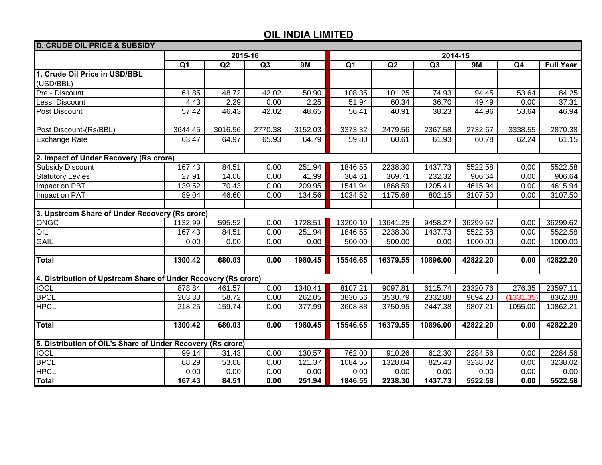| <b>D. CRUDE OIL PRICE &amp; SUBSIDY</b>                        |                |         |         |           |                |          |          |           |                |                  |  |  |
|----------------------------------------------------------------|----------------|---------|---------|-----------|----------------|----------|----------|-----------|----------------|------------------|--|--|
|                                                                |                |         | 2015-16 |           | 2014-15        |          |          |           |                |                  |  |  |
|                                                                | Q <sub>1</sub> | Q2      | Q3      | <b>9M</b> | Q <sub>1</sub> | Q2       | Q3       | <b>9M</b> | Q <sub>4</sub> | <b>Full Year</b> |  |  |
| 1. Crude Oil Price in USD/BBL                                  |                |         |         |           |                |          |          |           |                |                  |  |  |
| (USD/BBL)                                                      |                |         |         |           |                |          |          |           |                |                  |  |  |
| Pre - Discount                                                 | 61.85          | 48.72   | 42.02   | 50.90     | 108.35         | 101.25   | 74.93    | 94.45     | 53.64          | 84.25            |  |  |
| Less: Discount                                                 | 4.43           | 2.29    | 0.00    | 2.25      | 51.94          | 60.34    | 36.70    | 49.49     | 0.00           | 37.31            |  |  |
| Post Discount                                                  | 57.42          | 46.43   | 42.02   | 48.65     | 56.41          | 40.91    | 38.23    | 44.96     | 53.64          | 46.94            |  |  |
|                                                                |                |         |         |           |                |          |          |           |                |                  |  |  |
| Post Discount-(Rs/BBL)                                         | 3644.45        | 3016.56 | 2770.38 | 3152.03   | 3373.32        | 2479.56  | 2367.58  | 2732.67   | 3338.55        | 2870.38          |  |  |
| <b>Exchange Rate</b>                                           | 63.47          | 64.97   | 65.93   | 64.79     | 59.80          | 60.61    | 61.93    | 60.78     | 62.24          | 61.15            |  |  |
|                                                                |                |         |         |           |                |          |          |           |                |                  |  |  |
| 2. Impact of Under Recovery (Rs crore)                         |                |         |         |           |                |          |          |           |                |                  |  |  |
| <b>Subsidy Discount</b>                                        | 167.43         | 84.51   | 0.00    | 251.94    | 1846.55        | 2238.30  | 1437.73  | 5522.58   | 0.00           | 5522.58          |  |  |
| <b>Statutory Levies</b>                                        | 27.91          | 14.08   | 0.00    | 41.99     | 304.61         | 369.71   | 232.32   | 906.64    | 0.00           | 906.64           |  |  |
| Impact on PBT                                                  | 139.52         | 70.43   | 0.00    | 209.95    | 1541.94        | 1868.59  | 1205.41  | 4615.94   | 0.00           | 4615.94          |  |  |
| Impact on PAT                                                  | 89.04          | 46.60   | 0.00    | 134.56    | 1034.52        | 1175.68  | 802.15   | 3107.50   | 0.00           | 3107.50          |  |  |
|                                                                |                |         |         |           |                |          |          |           |                |                  |  |  |
| 3. Upstream Share of Under Recovery (Rs crore)                 |                |         |         |           |                |          |          |           |                |                  |  |  |
| <b>ONGC</b>                                                    | 1132.99        | 595.52  | 0.00    | 1728.51   | 13200.10       | 13641.25 | 9458.27  | 36299.62  | 0.00           | 36299.62         |  |  |
| OIL                                                            | 167.43         | 84.51   | 0.00    | 251.94    | 1846.55        | 2238.30  | 1437.73  | 5522.58   | 0.00           | 5522.58          |  |  |
| <b>GAIL</b>                                                    | 0.00           | 0.00    | 0.00    | 0.00      | 500.00         | 500.00   | 0.00     | 1000.00   | 0.00           | 1000.00          |  |  |
|                                                                |                |         |         |           |                |          |          |           |                |                  |  |  |
| <b>Total</b>                                                   | 1300.42        | 680.03  | 0.00    | 1980.45   | 15546.65       | 16379.55 | 10896.00 | 42822.20  | 0.00           | 42822.20         |  |  |
|                                                                |                |         |         |           |                |          |          |           |                |                  |  |  |
| 4. Distribution of Upstream Share of Under Recovery (Rs crore) |                |         |         |           |                |          |          |           |                |                  |  |  |
| <b>IOCL</b>                                                    | 878.84         | 461.57  | 0.00    | 1340.41   | 8107.21        | 9097.81  | 6115.74  | 23320.76  | 276.35         | 23597.11         |  |  |
| <b>BPCL</b>                                                    | 203.33         | 58.72   | 0.00    | 262.05    | 3830.56        | 3530.79  | 2332.88  | 9694.23   | (1331.35)      | 8362.88          |  |  |
| <b>HPCL</b>                                                    | 218.25         | 159.74  | 0.00    | 377.99    | 3608.88        | 3750.95  | 2447.38  | 9807.21   | 1055.00        | 10862.21         |  |  |
|                                                                |                |         |         |           |                |          |          |           |                |                  |  |  |
| <b>Total</b>                                                   | 1300.42        | 680.03  | 0.00    | 1980.45   | 15546.65       | 16379.55 | 10896.00 | 42822.20  | 0.00           | 42822.20         |  |  |
|                                                                |                |         |         |           |                |          |          |           |                |                  |  |  |
| 5. Distribution of OIL's Share of Under Recovery (Rs crore)    |                |         |         |           |                |          |          |           |                |                  |  |  |
| <b>IOCL</b>                                                    | 99.14          | 31.43   | 0.00    | 130.57    | 762.00         | 910.26   | 612.30   | 2284.56   | 0.00           | 2284.56          |  |  |
| <b>BPCL</b>                                                    | 68.29          | 53.08   | 0.00    | 121.37    | 1084.55        | 1328.04  | 825.43   | 3238.02   | 0.00           | 3238.02          |  |  |
| <b>HPCL</b>                                                    | 0.00           | 0.00    | 0.00    | 0.00      | 0.00           | 0.00     | 0.00     | 0.00      | 0.00           | 0.00             |  |  |
| <b>Total</b>                                                   | 167.43         | 84.51   | 0.00    | 251.94    | 1846.55        | 2238.30  | 1437.73  | 5522.58   | 0.00           | 5522.58          |  |  |